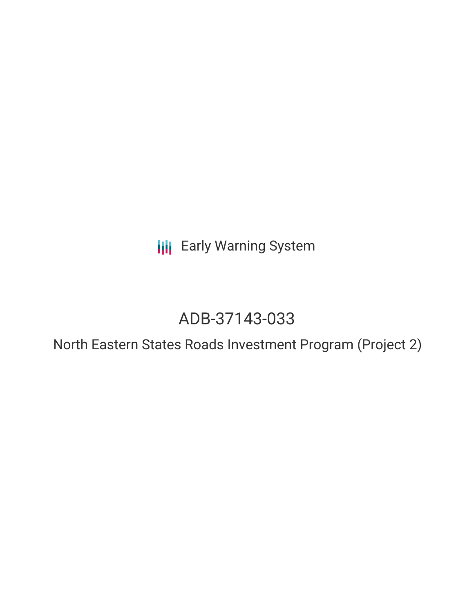**III** Early Warning System

# ADB-37143-033

North Eastern States Roads Investment Program (Project 2)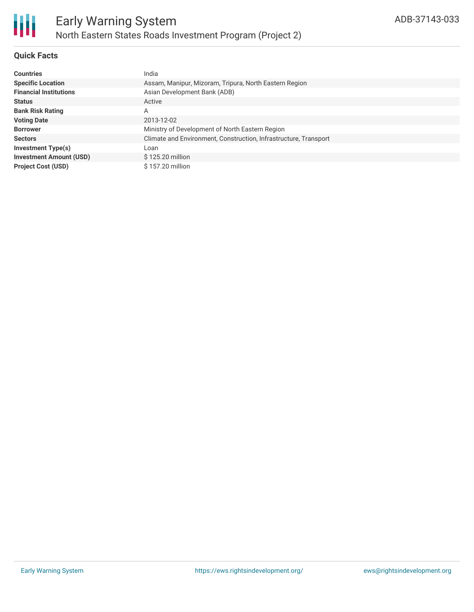

# **Quick Facts**

| <b>Countries</b>               | India                                                            |
|--------------------------------|------------------------------------------------------------------|
| <b>Specific Location</b>       | Assam, Manipur, Mizoram, Tripura, North Eastern Region           |
| <b>Financial Institutions</b>  | Asian Development Bank (ADB)                                     |
| <b>Status</b>                  | Active                                                           |
| <b>Bank Risk Rating</b>        | A                                                                |
| <b>Voting Date</b>             | 2013-12-02                                                       |
| <b>Borrower</b>                | Ministry of Development of North Eastern Region                  |
| <b>Sectors</b>                 | Climate and Environment, Construction, Infrastructure, Transport |
| <b>Investment Type(s)</b>      | Loan                                                             |
| <b>Investment Amount (USD)</b> | \$125.20 million                                                 |
| <b>Project Cost (USD)</b>      | \$157.20 million                                                 |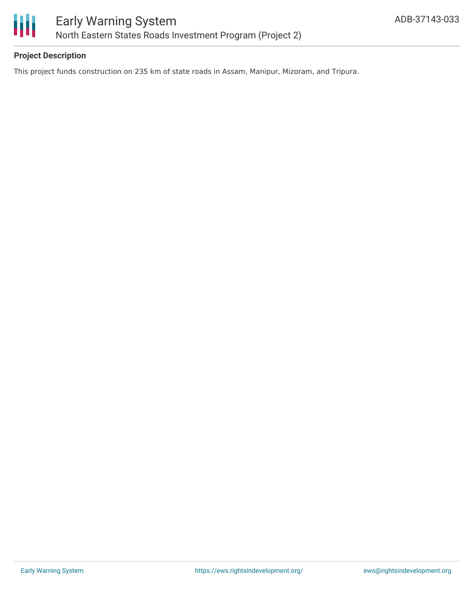

# **Project Description**

This project funds construction on 235 km of state roads in Assam, Manipur, Mizoram, and Tripura.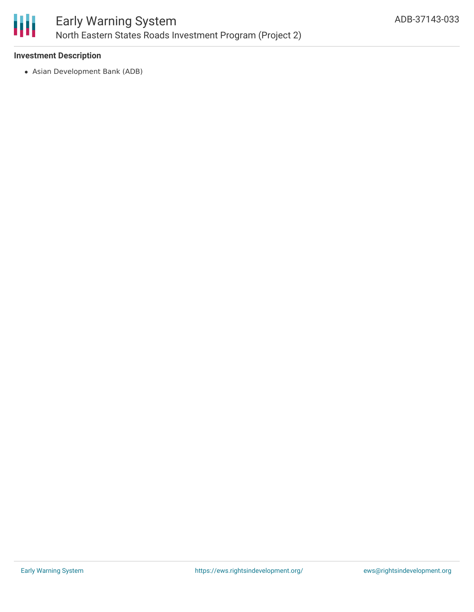

## **Investment Description**

Asian Development Bank (ADB)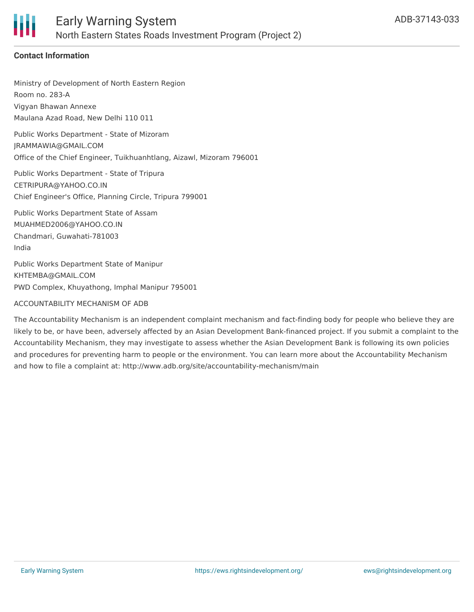

# **Contact Information**

Ministry of Development of North Eastern Region Room no. 283-A Vigyan Bhawan Annexe Maulana Azad Road, New Delhi 110 011

Public Works Department - State of Mizoram JRAMMAWIA@GMAIL.COM Office of the Chief Engineer, Tuikhuanhtlang, Aizawl, Mizoram 796001

Public Works Department - State of Tripura CETRIPURA@YAHOO.CO.IN Chief Engineer's Office, Planning Circle, Tripura 799001

Public Works Department State of Assam MUAHMED2006@YAHOO.CO.IN Chandmari, Guwahati-781003 India

Public Works Department State of Manipur KHTEMBA@GMAIL.COM PWD Complex, Khuyathong, Imphal Manipur 795001

### ACCOUNTABILITY MECHANISM OF ADB

The Accountability Mechanism is an independent complaint mechanism and fact-finding body for people who believe they are likely to be, or have been, adversely affected by an Asian Development Bank-financed project. If you submit a complaint to the Accountability Mechanism, they may investigate to assess whether the Asian Development Bank is following its own policies and procedures for preventing harm to people or the environment. You can learn more about the Accountability Mechanism and how to file a complaint at: http://www.adb.org/site/accountability-mechanism/main